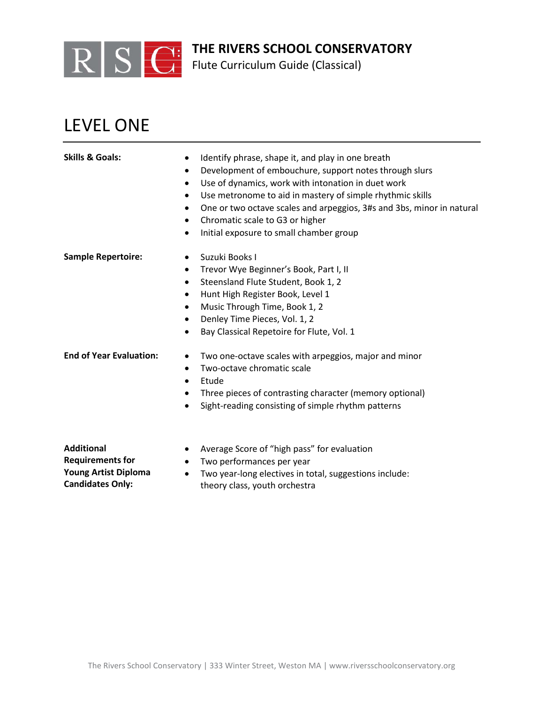

Flute Curriculum Guide (Classical)

# LEVEL ONE

| <b>Skills &amp; Goals:</b>     | Identify phrase, shape it, and play in one breath<br>$\bullet$<br>Development of embouchure, support notes through slurs<br>$\bullet$<br>Use of dynamics, work with intonation in duet work<br>$\bullet$<br>Use metronome to aid in mastery of simple rhythmic skills<br>$\bullet$<br>One or two octave scales and arpeggios, 3#s and 3bs, minor in natural<br>$\bullet$<br>Chromatic scale to G3 or higher<br>$\bullet$<br>Initial exposure to small chamber group<br>$\bullet$ |
|--------------------------------|----------------------------------------------------------------------------------------------------------------------------------------------------------------------------------------------------------------------------------------------------------------------------------------------------------------------------------------------------------------------------------------------------------------------------------------------------------------------------------|
| <b>Sample Repertoire:</b>      | Suzuki Books I<br>$\bullet$<br>Trevor Wye Beginner's Book, Part I, II<br>$\bullet$<br>Steensland Flute Student, Book 1, 2<br>$\bullet$<br>Hunt High Register Book, Level 1<br>$\bullet$<br>Music Through Time, Book 1, 2<br>$\bullet$<br>Denley Time Pieces, Vol. 1, 2<br>$\bullet$<br>Bay Classical Repetoire for Flute, Vol. 1<br>$\bullet$                                                                                                                                    |
| <b>End of Year Evaluation:</b> | Two one-octave scales with arpeggios, major and minor<br>$\bullet$<br>Two-octave chromatic scale<br>$\bullet$<br>Etude<br>$\bullet$<br>Three pieces of contrasting character (memory optional)<br>٠<br>Sight-reading consisting of simple rhythm patterns<br>$\bullet$                                                                                                                                                                                                           |
| <b>Additional</b>              | Average Score of "high pass" for evaluation                                                                                                                                                                                                                                                                                                                                                                                                                                      |

- Two performances per year
- Two year-long electives in total, suggestions include: theory class, youth orchestra

#### **Requirements for Young Artist Diploma Candidates Only:**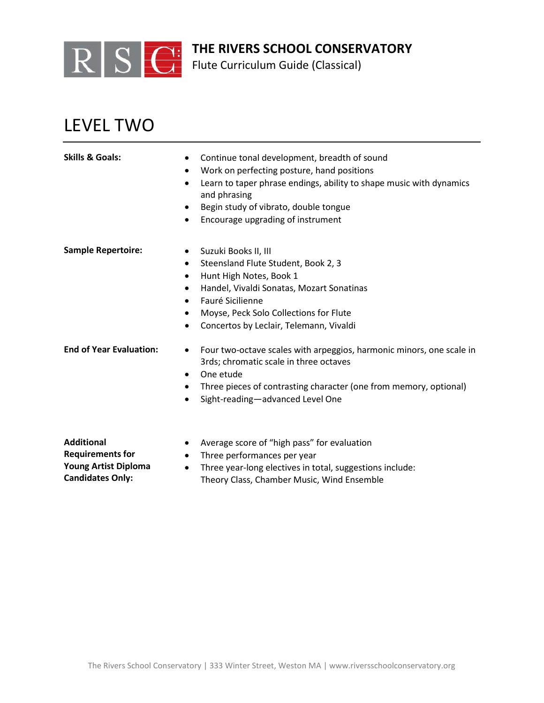

Flute Curriculum Guide (Classical)

# LEVEL TWO

| <b>Skills &amp; Goals:</b>     | Continue tonal development, breadth of sound<br>$\bullet$<br>Work on perfecting posture, hand positions<br>$\bullet$<br>Learn to taper phrase endings, ability to shape music with dynamics<br>$\bullet$<br>and phrasing<br>Begin study of vibrato, double tongue<br>$\bullet$<br>Encourage upgrading of instrument<br>$\bullet$ |
|--------------------------------|----------------------------------------------------------------------------------------------------------------------------------------------------------------------------------------------------------------------------------------------------------------------------------------------------------------------------------|
| <b>Sample Repertoire:</b>      | Suzuki Books II, III<br>$\bullet$<br>Steensland Flute Student, Book 2, 3<br>$\bullet$<br>Hunt High Notes, Book 1<br>$\bullet$<br>Handel, Vivaldi Sonatas, Mozart Sonatinas<br>٠<br>Fauré Sicilienne<br>$\bullet$                                                                                                                 |
|                                | Moyse, Peck Solo Collections for Flute<br>$\bullet$<br>Concertos by Leclair, Telemann, Vivaldi<br>$\bullet$                                                                                                                                                                                                                      |
| <b>End of Year Evaluation:</b> | Four two-octave scales with arpeggios, harmonic minors, one scale in<br>$\bullet$<br>3rds; chromatic scale in three octaves<br>One etude<br>$\bullet$<br>Three pieces of contrasting character (one from memory, optional)                                                                                                       |
|                                | Sight-reading-advanced Level One<br>$\bullet$                                                                                                                                                                                                                                                                                    |
| <b>Additional</b>              | Average scare of "bigh pass" for ovaluation                                                                                                                                                                                                                                                                                      |

- **Additional Requirements for Young Artist Diploma Candidates Only:**
- Average score of "high pass" for evaluation
- Three performances per year
- Three year-long electives in total, suggestions include: Theory Class, Chamber Music, Wind Ensemble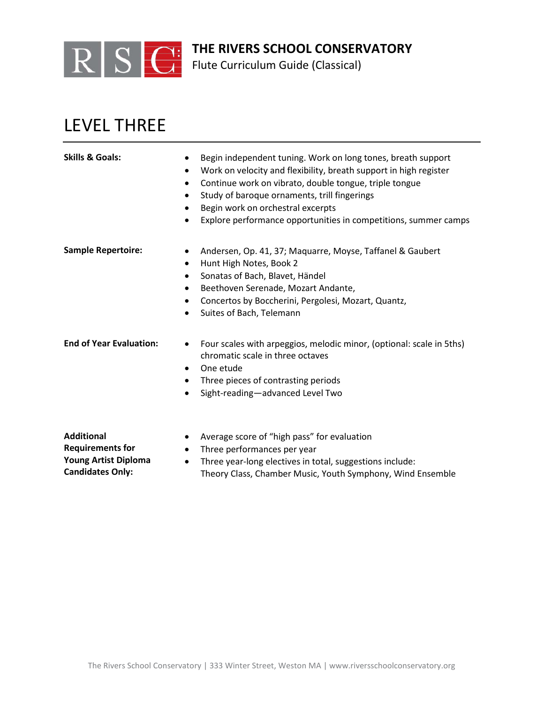

Flute Curriculum Guide (Classical)

### LEVEL THREE

| <b>Skills &amp; Goals:</b>     | Begin independent tuning. Work on long tones, breath support<br>٠<br>Work on velocity and flexibility, breath support in high register<br>$\bullet$<br>Continue work on vibrato, double tongue, triple tongue<br>$\bullet$<br>Study of baroque ornaments, trill fingerings<br>$\bullet$<br>Begin work on orchestral excerpts<br>٠<br>Explore performance opportunities in competitions, summer camps<br>٠ |
|--------------------------------|-----------------------------------------------------------------------------------------------------------------------------------------------------------------------------------------------------------------------------------------------------------------------------------------------------------------------------------------------------------------------------------------------------------|
| <b>Sample Repertoire:</b>      | Andersen, Op. 41, 37; Maquarre, Moyse, Taffanel & Gaubert<br>٠<br>Hunt High Notes, Book 2<br>٠<br>Sonatas of Bach, Blavet, Händel<br>٠<br>Beethoven Serenade, Mozart Andante,<br>$\bullet$<br>Concertos by Boccherini, Pergolesi, Mozart, Quantz,<br>$\bullet$<br>Suites of Bach, Telemann<br>$\bullet$                                                                                                   |
| <b>End of Year Evaluation:</b> | Four scales with arpeggios, melodic minor, (optional: scale in 5ths)<br>٠<br>chromatic scale in three octaves<br>One etude<br>$\bullet$<br>Three pieces of contrasting periods<br>٠<br>Sight-reading-advanced Level Two<br>$\bullet$                                                                                                                                                                      |
| <b>Additional</b>              | Average score of "high pass" for evaluation                                                                                                                                                                                                                                                                                                                                                               |

- Three performances per year
- Three year-long electives in total, suggestions include: Theory Class, Chamber Music, Youth Symphony, Wind Ensemble

**Requirements for Young Artist Diploma Candidates Only:**